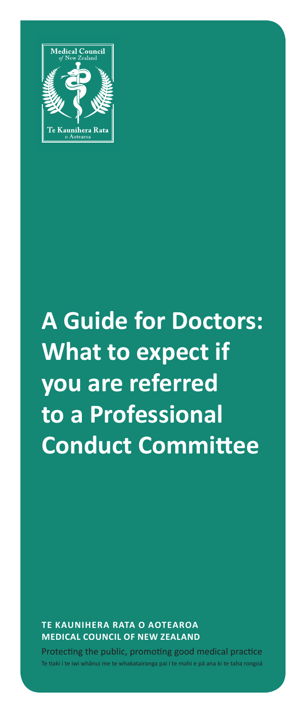

# **A Guide for Doctors: What to expect if you are referred to a Professional Conduct Committee**

**TE KAUNIHERA RATA O AOTEAROA MEDICAL COUNCIL OF NEW ZEALAND**

Protecting the public, promoting good medical practice nai i te mahi e nā ana ki te taha rol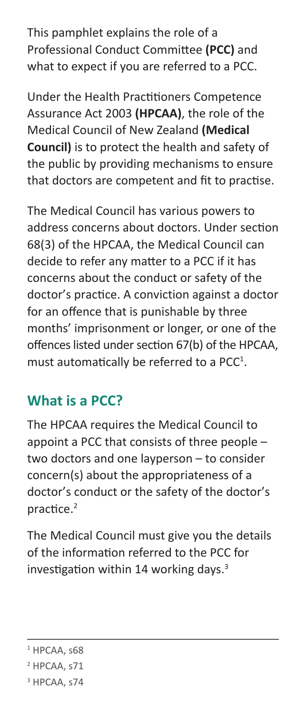This pamphlet explains the role of a Professional Conduct Committee **(PCC)** and what to expect if you are referred to a PCC.

Under the Health Practitioners Competence Assurance Act 2003 **(HPCAA)**, the role of the Medical Council of New Zealand **(Medical Council)** is to protect the health and safety of the public by providing mechanisms to ensure that doctors are competent and fit to practise.

The Medical Council has various powers to address concerns about doctors. Under section 68(3) of the HPCAA, the Medical Council can decide to refer any matter to a PCC if it has concerns about the conduct or safety of the doctor's practice. A conviction against a doctor for an offence that is punishable by three months' imprisonment or longer, or one of the offences listed under section 67(b) of the HPCAA, must automatically be referred to a PCC<sup>1</sup>.

# **What is a PCC?**

The HPCAA requires the Medical Council to appoint a PCC that consists of three people – two doctors and one layperson – to consider concern(s) about the appropriateness of a doctor's conduct or the safety of the doctor's practice.<sup>2</sup>

The Medical Council must give you the details of the information referred to the PCC for investigation within 14 working days.<sup>3</sup>

 $1$  HPCAA, s68

<sup>&</sup>lt;sup>2</sup> HPCAA, s71

<sup>&</sup>lt;sup>3</sup> HPCAA, s74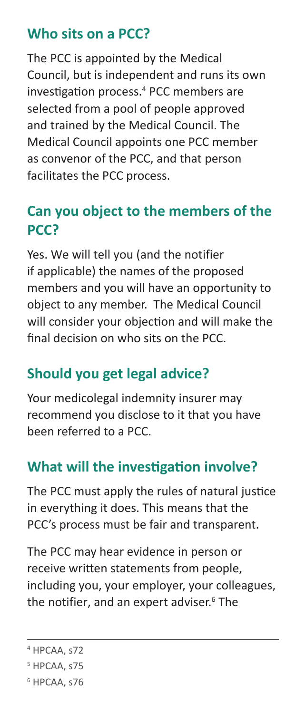#### **Who sits on a PCC?**

The PCC is appointed by the Medical Council, but is independent and runs its own investigation process.<sup>4</sup> PCC members are selected from a pool of people approved and trained by the Medical Council. The Medical Council appoints one PCC member as convenor of the PCC, and that person facilitates the PCC process.

# **Can you object to the members of the PCC?**

Yes. We will tell you (and the notifier if applicable) the names of the proposed members and you will have an opportunity to object to any member. The Medical Council will consider your objection and will make the final decision on who sits on the PCC.

# **Should you get legal advice?**

Your medicolegal indemnity insurer may recommend you disclose to it that you have been referred to a PCC.

#### **What will the investigation involve?**

The PCC must apply the rules of natural justice in everything it does. This means that the PCC's process must be fair and transparent.

The PCC may hear evidence in person or receive written statements from people, including you, your employer, your colleagues, the notifier, and an expert adviser.<sup>6</sup> The

- 5 HPCAA, s75
- 6 HPCAA, s76

<sup>4</sup> HPCAA, s72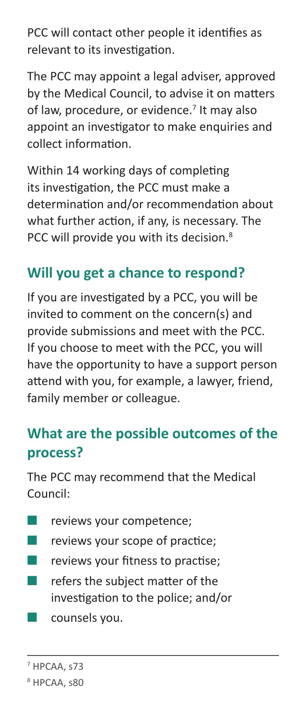PCC will contact other people it identifies as relevant to its investigation.

The PCC may appoint a legal adviser, approved by the Medical Council, to advise it on matters of law, procedure, or evidence.<sup>7</sup> It may also appoint an investigator to make enquiries and collect information.

Within 14 working days of completing its investigation, the PCC must make a determination and/or recommendation about what further action, if any, is necessary. The PCC will provide you with its decision.<sup>8</sup>

### **Will you get a chance to respond?**

If you are investigated by a PCC, you will be invited to comment on the concern(s) and provide submissions and meet with the PCC. If you choose to meet with the PCC, you will have the opportunity to have a support person attend with you, for example, a lawyer, friend, family member or colleague.

### **What are the possible outcomes of the process?**

The PCC may recommend that the Medical Council:

- **E** reviews your competence;
- **EXECUTE:** reviews your scope of practice;
- **■** reviews your fitness to practise;
- refers the subject matter of the investigation to the police; and/or
- counsels you.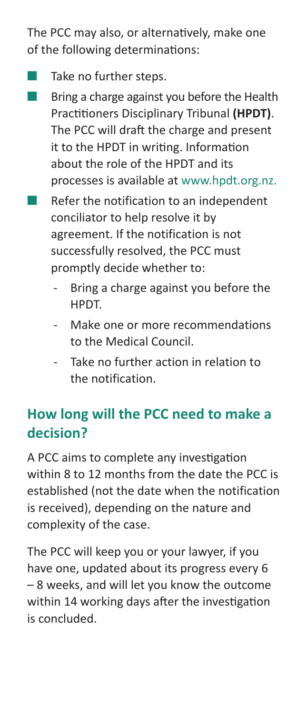The PCC may also, or alternatively, make one of the following determinations:

- Take no further steps.
- Bring a charge against you before the Health Practitioners Disciplinary Tribunal **(HPDT)**. The PCC will draft the charge and present it to the HPDT in writing. Information about the role of the HPDT and its processes is available at [www.hpdt.org.nz](http://www.hpdt.org.nz).
- Refer the notification to an independent conciliator to help resolve it by agreement. If the notification is not successfully resolved, the PCC must promptly decide whether to:
	- Bring a charge against you before the HPDT.
	- Make one or more recommendations to the Medical Council.
	- Take no further action in relation to the notification.

# **How long will the PCC need to make a decision?**

A PCC aims to complete any investigation within 8 to 12 months from the date the PCC is established (not the date when the notification is received), depending on the nature and complexity of the case.

The PCC will keep you or your lawyer, if you have one, updated about its progress every 6 – 8 weeks, and will let you know the outcome within 14 working days after the investigation is concluded.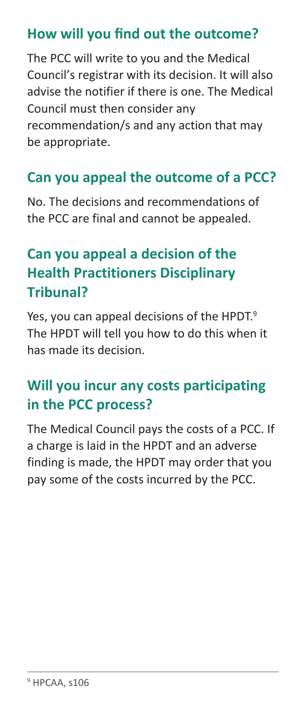#### **How will you find out the outcome?**

The PCC will write to you and the Medical Council's registrar with its decision. It will also advise the notifier if there is one. The Medical Council must then consider any recommendation/s and any action that may be appropriate.

### **Can you appeal the outcome of a PCC?**

No. The decisions and recommendations of the PCC are final and cannot be appealed.

# **Can you appeal a decision of the Health Practitioners Disciplinary Tribunal?**

Yes, you can appeal decisions of the HPDT.<sup>9</sup> The HPDT will tell you how to do this when it has made its decision.

# **Will you incur any costs participating in the PCC process?**

The Medical Council pays the costs of a PCC. If a charge is laid in the HPDT and an adverse finding is made, the HPDT may order that you pay some of the costs incurred by the PCC.